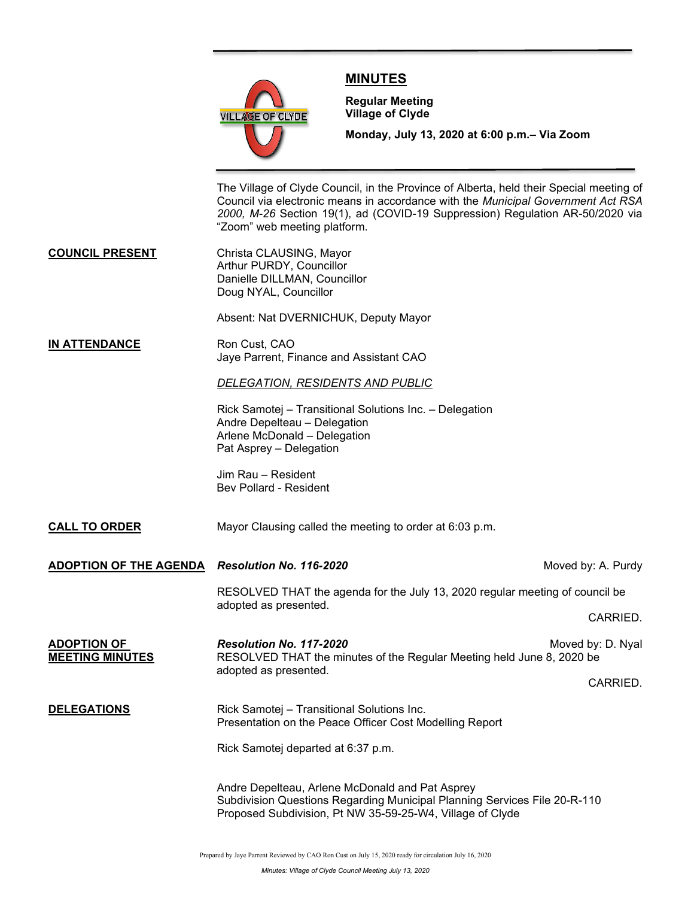

# **MINUTES**

**Regular Meeting Village of Clyde**

**Monday, July 13, 2020 at 6:00 p.m.– Via Zoom** 

The Village of Clyde Council, in the Province of Alberta, held their Special meeting of Council via electronic means in accordance with the *Municipal Government Act RSA 2000, M-26* Section 19(1), ad (COVID-19 Suppression) Regulation AR-50/2020 via "Zoom" web meeting platform.

**COUNCIL PRESENT** Christa CLAUSING, Mayor Arthur PURDY, Councillor Danielle DILLMAN, Councillor Doug NYAL, Councillor

Absent: Nat DVERNICHUK, Deputy Mayor

**IN ATTENDANCE** Ron Cust, CAO Jaye Parrent, Finance and Assistant CAO

### *DELEGATION, RESIDENTS AND PUBLIC*

Rick Samotej – Transitional Solutions Inc. – Delegation Andre Depelteau – Delegation Arlene McDonald – Delegation Pat Asprey – Delegation

Jim Rau – Resident Bev Pollard - Resident

# **CALL TO ORDER** Mayor Clausing called the meeting to order at 6:03 p.m.

**ADOPTION OF THE AGENDA** *Resolution No. 116-2020* Moved by: A. Purdy

RESOLVED THAT the agenda for the July 13, 2020 regular meeting of council be adopted as presented.

CARRIED.

**ADOPTION OF** *Resolution No. 117-2020* Moved by: D. Nyal RESOLVED THAT the minutes of the Regular Meeting held June 8, 2020 be adopted as presented. CARRIED.

## **DELEGATIONS** Rick Samotej – Transitional Solutions Inc. Presentation on the Peace Officer Cost Modelling Report

Rick Samotej departed at 6:37 p.m.

Andre Depelteau, Arlene McDonald and Pat Asprey Subdivision Questions Regarding Municipal Planning Services File 20-R-110 Proposed Subdivision, Pt NW 35-59-25-W4, Village of Clyde

Prepared by Jaye Parrent Reviewed by CAO Ron Cust on July 15, 2020 ready for circulation July 16, 2020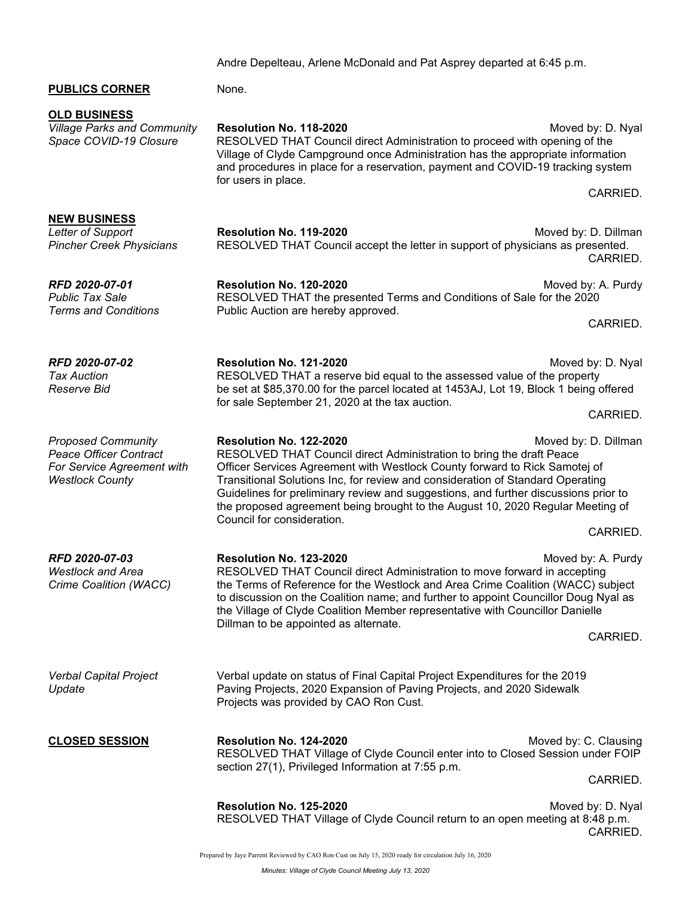Andre Depelteau, Arlene McDonald and Pat Asprey departed at 6:45 p.m.

### **PUBLICS CORNER** None.

**OLD BUSINESS**

**NEW BUSINESS**

*Village Parks and Community* **Resolution No. 118-2020** Moved by: D. Nyal *Space COVID-19 Closure* RESOLVED THAT Council direct Administration to proceed with opening of the Village of Clyde Campground once Administration has the appropriate information and procedures in place for a reservation, payment and COVID-19 tracking system for users in place.

CARRIED.

**Resolution No. 119-2020 Letter of Support Accord Moved by: D. Dillman** *Pincher Creek Physicians* RESOLVED THAT Council accept the letter in support of physicians as presented. CARRIED.

*RFD 2020-07-01* **Resolution No. 120-2020** Moved by: A. Purdy *Public Tax Sale* **RESOLVED THAT the presented Terms and Conditions of Sale for the 2020** *Terms and Conditions* Public Auction are hereby approved.

CARRIED.

*RFD 2020-07-02* **Resolution No. 121-2020**<br>*Tax Auction* **Canadiation BESOLVED THAT a reserve bid equal to the assessed value of the property** *Tax Auction* RESOLVED THAT a reserve bid equal to the assessed value of the property *Reserve Bid* be set at \$85,370.00 for the parcel located at 1453AJ, Lot 19, Block 1 being offered for sale September 21, 2020 at the tax auction.

CARRIED.

**Proposed Community <b>Resolution No. 122-2020** Moved by: D. Dillman

*Peace Officer Contract* RESOLVED THAT Council direct Administration to bring the draft Peace *For Service Agreement with* Officer Services Agreement with Westlock County forward to Rick Samotej of *Westlock County* Transitional Solutions Inc, for review and consideration of Standard Operating Guidelines for preliminary review and suggestions, and further discussions prior to the proposed agreement being brought to the August 10, 2020 Regular Meeting of Council for consideration.

CARRIED.

*RFD 2020-07-03* **Resolution No. 123-2020** Moved by: A. Purdy *Westlock and Area* RESOLVED THAT Council direct Administration to move forward in accepting *Crime Coalition (WACC)* the Terms of Reference for the Westlock and Area Crime Coalition (WACC) subject to discussion on the Coalition name; and further to appoint Councillor Doug Nyal as the Village of Clyde Coalition Member representative with Councillor Danielle Dillman to be appointed as alternate.

CARRIED.

*Verbal Capital Project* Verbal update on status of Final Capital Project Expenditures for the 2019 *Update* Paving Projects, 2020 Expansion of Paving Projects, and 2020 Sidewalk Projects was provided by CAO Ron Cust.

**CLOSED SESSION Resolution No. 124-2020** Moved by: C. Clausing RESOLVED THAT Village of Clyde Council enter into to Closed Session under FOIP section 27(1), Privileged Information at 7:55 p.m.

CARRIED.

**Resolution No. 125-2020** Moved by: D. Nyal RESOLVED THAT Village of Clyde Council return to an open meeting at 8:48 p.m. CARRIED.

Prepared by Jaye Parrent Reviewed by CAO Ron Cust on July 15, 2020 ready for circulation July 16, 2020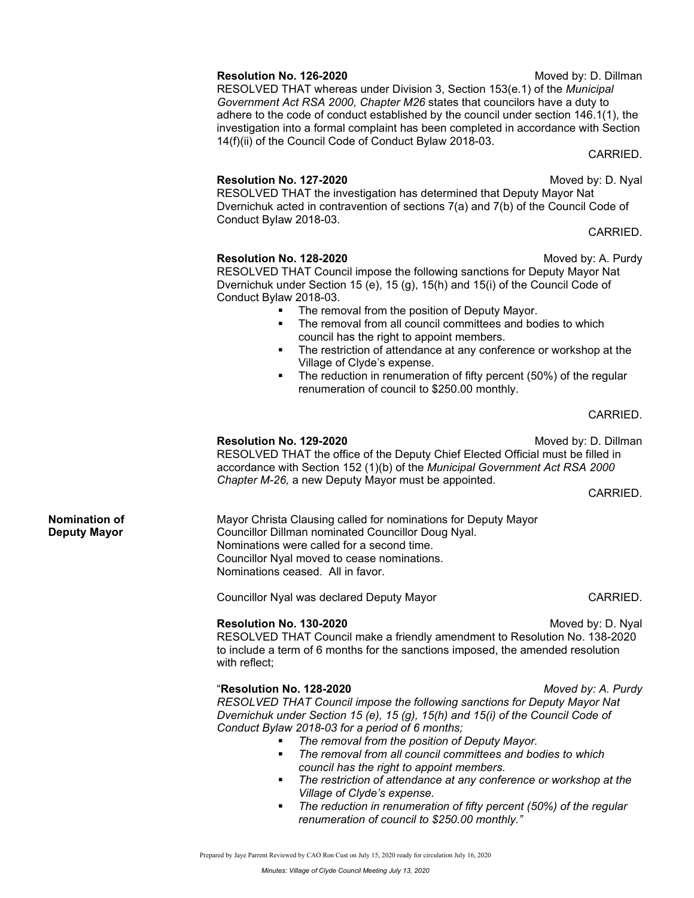# **Resolution No. 126-2020** Moved by: D. Dillman

RESOLVED THAT whereas under Division 3, Section 153(e.1) of the *Municipal Government Act RSA 2000, Chapter M26* states that councilors have a duty to adhere to the code of conduct established by the council under section 146.1(1), the investigation into a formal complaint has been completed in accordance with Section 14(f)(ii) of the Council Code of Conduct Bylaw 2018-03.

CARRIED.

#### **Resolution No. 127-2020** Moved by: D. Nyal

RESOLVED THAT the investigation has determined that Deputy Mayor Nat Dvernichuk acted in contravention of sections 7(a) and 7(b) of the Council Code of Conduct Bylaw 2018-03.

CARRIED.

## **Resolution No. 128-2020** Moved by: A. Purdy

RESOLVED THAT Council impose the following sanctions for Deputy Mayor Nat Dvernichuk under Section 15 (e), 15 (g), 15(h) and 15(i) of the Council Code of Conduct Bylaw 2018-03.

- The removal from the position of Deputy Mayor.
- The removal from all council committees and bodies to which council has the right to appoint members.
- The restriction of attendance at any conference or workshop at the Village of Clyde's expense.
- The reduction in renumeration of fifty percent (50%) of the regular renumeration of council to \$250.00 monthly.

CARRIED.

### **Resolution No. 129-2020** Moved by: D. Dillman

RESOLVED THAT the office of the Deputy Chief Elected Official must be filled in accordance with Section 152 (1)(b) of the *Municipal Government Act RSA 2000 Chapter M-26,* a new Deputy Mayor must be appointed.

CARRIED.

**Nomination of** Mayor Christa Clausing called for nominations for Deputy Mayor **Deputy Mayor** Councillor Dillman nominated Councillor Doug Nyal. Nominations were called for a second time. Councillor Nyal moved to cease nominations. Nominations ceased. All in favor.

Councillor Nyal was declared Deputy Mayor CARRIED.

**Resolution No. 130-2020** Moved by: D. Nyal RESOLVED THAT Council make a friendly amendment to Resolution No. 138-2020 to include a term of 6 months for the sanctions imposed, the amended resolution with reflect;

### "**Resolution No. 128-2020** *Moved by: A. Purdy*

*RESOLVED THAT Council impose the following sanctions for Deputy Mayor Nat Dvernichuk under Section 15 (e), 15 (g), 15(h) and 15(i) of the Council Code of Conduct Bylaw 2018-03 for a period of 6 months;*

- *The removal from the position of Deputy Mayor.*
- *The removal from all council committees and bodies to which council has the right to appoint members.*
- *The restriction of attendance at any conference or workshop at the Village of Clyde's expense.*
- *The reduction in renumeration of fifty percent (50%) of the regular renumeration of council to \$250.00 monthly."*

Prepared by Jaye Parrent Reviewed by CAO Ron Cust on July 15, 2020 ready for circulation July 16, 2020